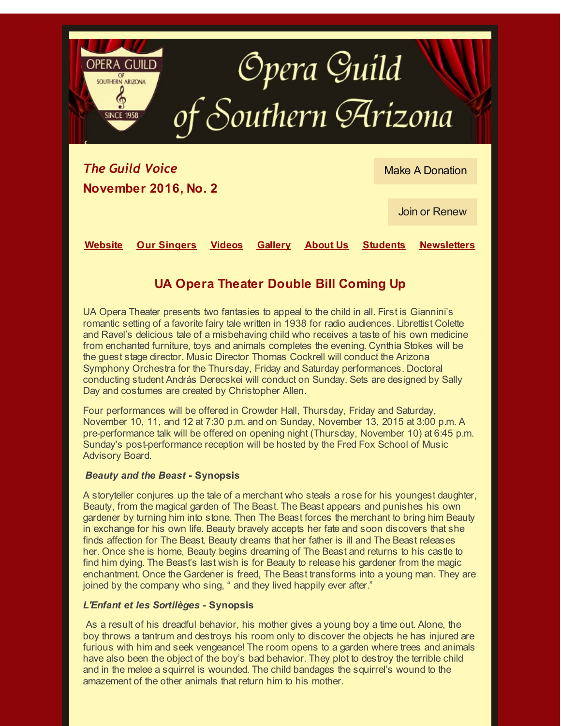

Join or [Renew](http://r20.rs6.net/tn.jsp?f=001Oci4E7cpS0LjTSV_Z2NG7zAVq6osq4wLGR8gpF2Wc29AIIVPonFRO5znZpifvR28Xg-5AjSiQUbFjjdX2MtjocgwA7dt13gg77LMhNb-65LrMyAjpbg_cIUDC1eLCcPexBoHv7q9jepeJwzFhxRLwkyGai6NnDo3D5kkObGo7xc=&c=&ch=)

**[Website](http://r20.rs6.net/tn.jsp?f=001Oci4E7cpS0LjTSV_Z2NG7zAVq6osq4wLGR8gpF2Wc29AIIVPonFRO5znZpifvR28xXF4f-aMC2knmZ6jYf_oryLqsSF41rNpyYRHl7lOPNQmT1Uzh8UY9vXPacWMVO1ZBswn22BLFtQ=&c=&ch=) Our [Singers](http://r20.rs6.net/tn.jsp?f=001Oci4E7cpS0LjTSV_Z2NG7zAVq6osq4wLGR8gpF2Wc29AIIVPonFRO5znZpifvR28tIpqMdV6LxCkznDjOMszKgHAkaWQGt1cjEQhaot4saujTQESLZgF527nzfIS3iqJAsQOBEXxukYURoHbtW376txIPazRXMDkwTlG3qpp_EVjxa57dIkRlw==&c=&ch=) [Videos](http://r20.rs6.net/tn.jsp?f=001Oci4E7cpS0LjTSV_Z2NG7zAVq6osq4wLGR8gpF2Wc29AIIVPonFRO5znZpifvR285M6ThZyAYi3AMw5zYnq_9sd7zd_3v8Hu87YKZGw9pl05tWc6VsTq_hWusKyXARoPWuCgHLWW8T2sBGDc0w0-lPMYAIjz3FNj2pHckq5I853w2irytAiVkA==&c=&ch=) [Gallery](http://r20.rs6.net/tn.jsp?f=001Oci4E7cpS0LjTSV_Z2NG7zAVq6osq4wLGR8gpF2Wc29AIIVPonFROw3pBJUSVlC2x4qyO4gX_TYxndxfGg_ATPQJ1DDf1EKeIkpZN_jREYjUy0oqUCS7gnrHAt3fKgZngw-_-UdhCkwIrWe0tX8R2IIiBR4RDjZMZoks2vk9p5A=&c=&ch=) [About](http://r20.rs6.net/tn.jsp?f=001Oci4E7cpS0LjTSV_Z2NG7zAVq6osq4wLGR8gpF2Wc29AIIVPonFRO5znZpifvR2883WxWRVV6Wybw_QawLndRmrMS1KouYR8l8dRQANMF4ZdpiXJgHMitxm4nBBF4-qHGtcvXeZO1zbAGtxCpilNsA==&c=&ch=) Us [Students](http://r20.rs6.net/tn.jsp?f=001Oci4E7cpS0LjTSV_Z2NG7zAVq6osq4wLGR8gpF2Wc29AIIVPonFRO5znZpifvR28K4q5rzI_1DGwYl3iQf9FKuKfgfHYL6tsTRLBHhybRIWJHOUcsaEhGjYSqd4spUI_OsTozDngMigdOw-J1g5eEXgN8EMJQW-4xWqF4qythzGiTtww9bSIYA==&c=&ch=) [Newsletters](http://r20.rs6.net/tn.jsp?f=001Oci4E7cpS0LjTSV_Z2NG7zAVq6osq4wLGR8gpF2Wc29AIIVPonFRO5znZpifvR28DWwImGYQui-MYlCnPc9GFbgTBkP19IzABcNAxnYP-Rt-0CCMMJPWhQLqYGaS6W9miYzY1k5GY-HuYjTUv1mcIC5s6_R_bxb3hL2ExrTCgw0=&c=&ch=)**

## **UA Opera Theater Double Bill Coming Up**

UA Opera Theater presents two fantasies to appeal to the child in all. First is Giannini's romantic setting of a favorite fairy tale written in 1938 for radio audiences. Librettist Colette and Ravel's delicious tale of a misbehaving child who receives a taste of his own medicine from enchanted furniture, toys and animals completes the evening. Cynthia Stokes will be the guest stage director. Music Director Thomas Cockrell will conduct the Arizona Symphony Orchestra for the Thursday, Friday and Saturday performances. Doctoral conducting student András Derecskei will conduct on Sunday. Sets are designed by Sally Day and costumes are created by Christopher Allen.

Four performances will be offered in Crowder Hall, Thursday, Friday and Saturday, November 10, 11, and 12 at 7:30 p.m. and on Sunday, November 13, 2015 at 3:00 p.m. A pre-performance talk will be offered on opening night (Thursday, November 10) at 6:45 p.m. Sunday's post-performance reception will be hosted by the Fred Fox School of Music Advisory Board.

## *Beauty and the Beast* **- Synopsis**

A storyteller conjures up the tale of a merchant who steals a rose for his youngest daughter, Beauty, from the magical garden of The Beast. The Beast appears and punishes his own gardener by turning him into stone. Then The Beast forces the merchant to bring him Beauty in exchange for his own life. Beauty bravely accepts her fate and soon discovers that she finds affection for The Beast. Beauty dreams that her father is ill and The Beast releases her. Once she is home, Beauty begins dreaming of The Beast and returns to his castle to find him dying. The Beast's last wish is for Beauty to release his gardener from the magic enchantment. Once the Gardener is freed, The Beast transforms into a young man. They are joined by the company who sing, " and they lived happily ever after."

## *L'Enfant et les Sortilèges* **- Synopsis**

As a result of his dreadful behavior, his mother gives a young boy a time out. Alone, the boy throws a tantrum and destroys his room only to discover the objects he has injured are furious with him and seek vengeance! The room opens to a garden where trees and animals have also been the object of the boy's bad behavior. They plot to destroy the terrible child and in the melee a squirrel is wounded. The child bandages the squirrel's wound to the amazement of the other animals that return him to his mother.